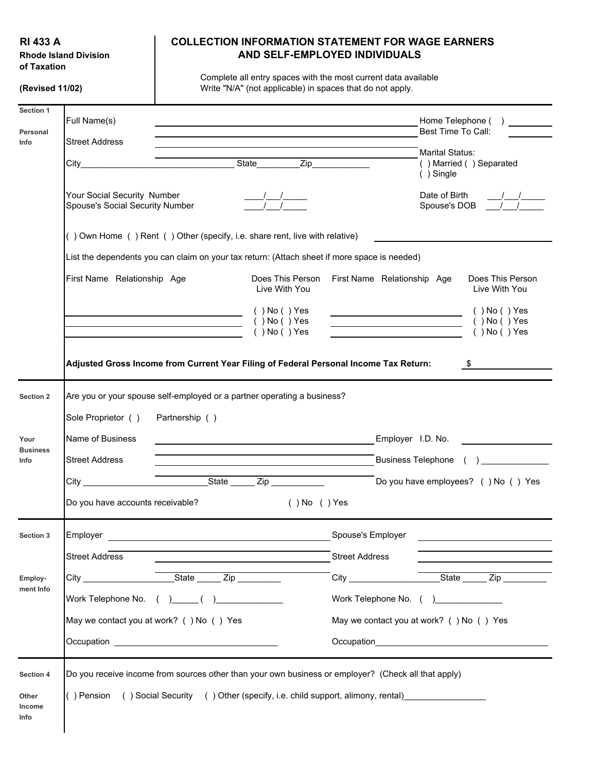**of Taxation**

## **RI 433 A COLLECTION INFORMATION STATEMENT FOR WAGE EARNERS** Rhode Island Division **AND SELF-EMPLOYED INDIVIDUALS**

Complete all entry spaces with the most current data available **(Revised 11/02)** Write "N/A" (not applicable) in spaces that do not apply.

| Section 1<br>Personal   | Full Name(s)                                                                                                                                                                                                                                              |                                                                                                     |                                                                                                                                                                                                                                                                                                                                                                                                                                   |                       | Best Time To Call:                                                                                                                                                                                                                 | Home Telephone ()                                              |
|-------------------------|-----------------------------------------------------------------------------------------------------------------------------------------------------------------------------------------------------------------------------------------------------------|-----------------------------------------------------------------------------------------------------|-----------------------------------------------------------------------------------------------------------------------------------------------------------------------------------------------------------------------------------------------------------------------------------------------------------------------------------------------------------------------------------------------------------------------------------|-----------------------|------------------------------------------------------------------------------------------------------------------------------------------------------------------------------------------------------------------------------------|----------------------------------------------------------------|
| Info                    | <b>Street Address</b><br>$City$ and $x$ and $y$ and $x$ and $y$ and $x$ and $y$ and $x$ and $y$ and $x$ and $y$ and $x$ and $y$ and $x$ and $y$ and $x$ and $y$ and $x$ and $x$ and $x$ and $x$ and $x$ and $x$ and $x$ and $x$ and $x$ and $x$ and $x$ a |                                                                                                     | State <b>Zip</b>                                                                                                                                                                                                                                                                                                                                                                                                                  |                       | <b>Marital Status:</b><br>() Single                                                                                                                                                                                                | () Married () Separated                                        |
|                         | Your Social Security Number<br>Spouse's Social Security Number                                                                                                                                                                                            |                                                                                                     | $\frac{1}{\sqrt{1-\frac{1}{\sqrt{1-\frac{1}{\sqrt{1-\frac{1}{\sqrt{1-\frac{1}{\sqrt{1-\frac{1}{\sqrt{1-\frac{1}{\sqrt{1-\frac{1}{\sqrt{1-\frac{1}{\sqrt{1-\frac{1}{\sqrt{1-\frac{1}{\sqrt{1-\frac{1}{\sqrt{1-\frac{1}{\sqrt{1-\frac{1}{\sqrt{1-\frac{1}{\sqrt{1-\frac{1}{\sqrt{1-\frac{1}{\sqrt{1-\frac{1}{\sqrt{1-\frac{1}{\sqrt{1-\frac{1}{\sqrt{1-\frac{1}{\sqrt{1-\frac{1}{\sqrt{1-\frac{1}{\sqrt{1-\frac{1}{\sqrt{1-\frac{1$ |                       |                                                                                                                                                                                                                                    | Date of Birth $\frac{1}{\frac{1}{2}}$                          |
|                         |                                                                                                                                                                                                                                                           | () Own Home () Rent () Other (specify, i.e. share rent, live with relative)                         |                                                                                                                                                                                                                                                                                                                                                                                                                                   |                       |                                                                                                                                                                                                                                    |                                                                |
|                         |                                                                                                                                                                                                                                                           | List the dependents you can claim on your tax return: (Attach sheet if more space is needed)        |                                                                                                                                                                                                                                                                                                                                                                                                                                   |                       |                                                                                                                                                                                                                                    |                                                                |
|                         | First Name Relationship Age                                                                                                                                                                                                                               |                                                                                                     | Does This Person<br>Live With You                                                                                                                                                                                                                                                                                                                                                                                                 |                       | First Name Relationship Age                                                                                                                                                                                                        | Does This Person<br>Live With You                              |
|                         |                                                                                                                                                                                                                                                           | <u> 1989 - Johann Barn, amerikan personal (</u>                                                     | $( )$ No $( )$ Yes<br>$( )$ No $( )$ Yes<br>$( )$ No $( )$ Yes                                                                                                                                                                                                                                                                                                                                                                    |                       | <u> Alexandria de la contrada de la con</u><br><u> 1989 - Johann Barn, amerikansk politiker (</u>                                                                                                                                  | $( )$ No $( )$ Yes<br>$( )$ No $( )$ Yes<br>$( )$ No $( )$ Yes |
|                         |                                                                                                                                                                                                                                                           | Adjusted Gross Income from Current Year Filing of Federal Personal Income Tax Return:               |                                                                                                                                                                                                                                                                                                                                                                                                                                   |                       |                                                                                                                                                                                                                                    | $\sim$ 5                                                       |
| <b>Section 2</b>        | Sole Proprietor ()                                                                                                                                                                                                                                        | Are you or your spouse self-employed or a partner operating a business?<br>Partnership ()           |                                                                                                                                                                                                                                                                                                                                                                                                                                   |                       |                                                                                                                                                                                                                                    |                                                                |
| Your                    | Name of Business                                                                                                                                                                                                                                          |                                                                                                     | <u> 1989 - Johann Harry Harry Harry Harry Harry Harry Harry Harry Harry Harry Harry Harry Harry Harry Harry Harry</u>                                                                                                                                                                                                                                                                                                             |                       | Employer I.D. No.                                                                                                                                                                                                                  |                                                                |
| <b>Business</b><br>Info | <b>Street Address</b>                                                                                                                                                                                                                                     |                                                                                                     |                                                                                                                                                                                                                                                                                                                                                                                                                                   |                       |                                                                                                                                                                                                                                    |                                                                |
|                         |                                                                                                                                                                                                                                                           | State Zip                                                                                           |                                                                                                                                                                                                                                                                                                                                                                                                                                   |                       | Do you have employees? () No () Yes                                                                                                                                                                                                |                                                                |
|                         | Do you have accounts receivable?                                                                                                                                                                                                                          |                                                                                                     | $( )$ No $( )$ Yes                                                                                                                                                                                                                                                                                                                                                                                                                |                       |                                                                                                                                                                                                                                    |                                                                |
| <b>Section 3</b>        | Employer                                                                                                                                                                                                                                                  |                                                                                                     |                                                                                                                                                                                                                                                                                                                                                                                                                                   | Spouse's Employer     |                                                                                                                                                                                                                                    |                                                                |
|                         | <b>Street Address</b>                                                                                                                                                                                                                                     |                                                                                                     |                                                                                                                                                                                                                                                                                                                                                                                                                                   | <b>Street Address</b> |                                                                                                                                                                                                                                    |                                                                |
| Employ-                 |                                                                                                                                                                                                                                                           |                                                                                                     |                                                                                                                                                                                                                                                                                                                                                                                                                                   |                       |                                                                                                                                                                                                                                    | State _______ Zip __________                                   |
| ment Info               |                                                                                                                                                                                                                                                           |                                                                                                     |                                                                                                                                                                                                                                                                                                                                                                                                                                   |                       | Work Telephone No. (                                                                                                                                                                                                               | $\sqrt{2}$                                                     |
|                         |                                                                                                                                                                                                                                                           | May we contact you at work? () No () Yes                                                            |                                                                                                                                                                                                                                                                                                                                                                                                                                   |                       | May we contact you at work? () No () Yes                                                                                                                                                                                           |                                                                |
|                         |                                                                                                                                                                                                                                                           |                                                                                                     |                                                                                                                                                                                                                                                                                                                                                                                                                                   |                       | Occupation <b>Designation Contract Contract Contract Contract Contract Contract Contract Contract Contract Contract Contract Contract Contract Contract Contract Contract Contract Contract Contract Contract Contract Contrac</b> |                                                                |
| <b>Section 4</b>        |                                                                                                                                                                                                                                                           | Do you receive income from sources other than your own business or employer? (Check all that apply) |                                                                                                                                                                                                                                                                                                                                                                                                                                   |                       |                                                                                                                                                                                                                                    |                                                                |
| Other<br>Income<br>Info |                                                                                                                                                                                                                                                           | () Pension () Social Security () Other (specify, i.e. child support, alimony, rental) [1001]        |                                                                                                                                                                                                                                                                                                                                                                                                                                   |                       |                                                                                                                                                                                                                                    |                                                                |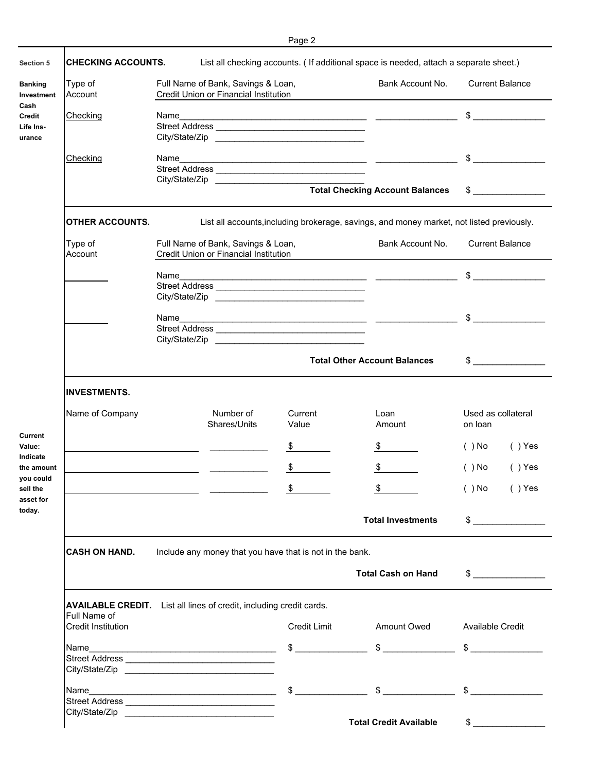| Section 5                    | <b>CHECKING ACCOUNTS.</b>                                                                  |      |                                                                             | ı uyu            | List all checking accounts. ( If additional space is needed, attach a separate sheet.)                                                                                                                                                                                                                              |                               |                        |  |  |  |  |
|------------------------------|--------------------------------------------------------------------------------------------|------|-----------------------------------------------------------------------------|------------------|---------------------------------------------------------------------------------------------------------------------------------------------------------------------------------------------------------------------------------------------------------------------------------------------------------------------|-------------------------------|------------------------|--|--|--|--|
| <b>Banking</b><br>Investment | Type of<br>Account                                                                         |      | Full Name of Bank, Savings & Loan,<br>Credit Union or Financial Institution |                  | Bank Account No.                                                                                                                                                                                                                                                                                                    |                               | <b>Current Balance</b> |  |  |  |  |
|                              | <b>Checking</b>                                                                            |      |                                                                             |                  |                                                                                                                                                                                                                                                                                                                     |                               | $\frac{1}{2}$          |  |  |  |  |
| Life Ins-                    |                                                                                            |      |                                                                             |                  |                                                                                                                                                                                                                                                                                                                     |                               |                        |  |  |  |  |
|                              |                                                                                            |      |                                                                             |                  |                                                                                                                                                                                                                                                                                                                     |                               |                        |  |  |  |  |
|                              | Checking                                                                                   | Name |                                                                             |                  | <u> 1989 - Jan Sterlinger, skriuwer fan it ferstjer fan it ferstjer fan it ferstjer fan it ferstjer fan it ferstj</u>                                                                                                                                                                                               |                               | $\frac{1}{2}$          |  |  |  |  |
|                              |                                                                                            |      |                                                                             |                  |                                                                                                                                                                                                                                                                                                                     |                               |                        |  |  |  |  |
|                              |                                                                                            |      |                                                                             | City/State/Zip   | <b>Total Checking Account Balances</b>                                                                                                                                                                                                                                                                              |                               | $\frac{1}{2}$          |  |  |  |  |
|                              | <b>OTHER ACCOUNTS.</b>                                                                     |      |                                                                             |                  | List all accounts, including brokerage, savings, and money market, not listed previously.                                                                                                                                                                                                                           |                               |                        |  |  |  |  |
|                              | Type of<br>Account                                                                         |      | Full Name of Bank, Savings & Loan,<br>Credit Union or Financial Institution |                  | Bank Account No.                                                                                                                                                                                                                                                                                                    |                               | <b>Current Balance</b> |  |  |  |  |
|                              |                                                                                            | Name |                                                                             |                  |                                                                                                                                                                                                                                                                                                                     |                               |                        |  |  |  |  |
|                              |                                                                                            |      |                                                                             |                  |                                                                                                                                                                                                                                                                                                                     |                               |                        |  |  |  |  |
|                              |                                                                                            |      |                                                                             |                  |                                                                                                                                                                                                                                                                                                                     |                               |                        |  |  |  |  |
|                              |                                                                                            | Name |                                                                             |                  | <u> 1989 - Jan Sarajević, politik i postala i postala i postala i postala i postala i postala i postala i postala</u>                                                                                                                                                                                               | $\frac{1}{2}$                 |                        |  |  |  |  |
|                              |                                                                                            |      |                                                                             |                  |                                                                                                                                                                                                                                                                                                                     |                               |                        |  |  |  |  |
|                              |                                                                                            |      |                                                                             | City/State/Zip   |                                                                                                                                                                                                                                                                                                                     |                               |                        |  |  |  |  |
|                              |                                                                                            |      |                                                                             |                  | <b>Total Other Account Balances</b>                                                                                                                                                                                                                                                                                 |                               | $\frac{1}{2}$          |  |  |  |  |
|                              | <b>INVESTMENTS.</b>                                                                        |      |                                                                             |                  |                                                                                                                                                                                                                                                                                                                     |                               |                        |  |  |  |  |
|                              | Name of Company                                                                            |      | Number of<br>Shares/Units                                                   | Current<br>Value | Loan<br>Amount                                                                                                                                                                                                                                                                                                      | Used as collateral<br>on loan |                        |  |  |  |  |
|                              |                                                                                            |      |                                                                             | \$               | \$                                                                                                                                                                                                                                                                                                                  | $( )$ No                      | $( )$ Yes              |  |  |  |  |
| the amount<br>you could      |                                                                                            |      |                                                                             | \$               | $\mathfrak{F}$                                                                                                                                                                                                                                                                                                      | $( )$ No                      | $( )$ Yes              |  |  |  |  |
| asset for                    |                                                                                            |      |                                                                             | \$               | $\frac{\mathcal{L}}{\mathcal{L}}$                                                                                                                                                                                                                                                                                   | $( )$ No $( )$                | $( )$ Yes              |  |  |  |  |
|                              |                                                                                            |      |                                                                             |                  | <b>Total Investments</b>                                                                                                                                                                                                                                                                                            |                               | $\frac{1}{2}$          |  |  |  |  |
|                              | Include any money that you have that is not in the bank.<br><b>CASH ON HAND.</b>           |      |                                                                             |                  |                                                                                                                                                                                                                                                                                                                     |                               |                        |  |  |  |  |
|                              |                                                                                            |      |                                                                             |                  | <b>Total Cash on Hand</b>                                                                                                                                                                                                                                                                                           |                               | $\frac{1}{2}$          |  |  |  |  |
|                              | <b>AVAILABLE CREDIT.</b> List all lines of credit, including credit cards.<br>Full Name of |      |                                                                             |                  |                                                                                                                                                                                                                                                                                                                     |                               |                        |  |  |  |  |
|                              | <b>Credit Institution</b>                                                                  |      |                                                                             |                  | Credit Limit Amount Owed Available Credit                                                                                                                                                                                                                                                                           |                               |                        |  |  |  |  |
|                              |                                                                                            |      |                                                                             |                  | $\frac{1}{2}$ $\frac{1}{2}$ $\frac{1}{2}$ $\frac{1}{2}$ $\frac{1}{2}$ $\frac{1}{2}$ $\frac{1}{2}$ $\frac{1}{2}$ $\frac{1}{2}$ $\frac{1}{2}$ $\frac{1}{2}$ $\frac{1}{2}$ $\frac{1}{2}$ $\frac{1}{2}$ $\frac{1}{2}$ $\frac{1}{2}$ $\frac{1}{2}$ $\frac{1}{2}$ $\frac{1}{2}$ $\frac{1}{2}$ $\frac{1}{2}$ $\frac{1}{2}$ |                               |                        |  |  |  |  |
|                              |                                                                                            |      |                                                                             |                  |                                                                                                                                                                                                                                                                                                                     |                               |                        |  |  |  |  |
|                              |                                                                                            |      |                                                                             |                  |                                                                                                                                                                                                                                                                                                                     |                               |                        |  |  |  |  |
|                              | Name                                                                                       |      |                                                                             |                  | $\frac{1}{2}$ $\frac{1}{2}$ $\frac{1}{2}$ $\frac{1}{2}$ $\frac{1}{2}$ $\frac{1}{2}$ $\frac{1}{2}$ $\frac{1}{2}$ $\frac{1}{2}$ $\frac{1}{2}$ $\frac{1}{2}$ $\frac{1}{2}$ $\frac{1}{2}$ $\frac{1}{2}$ $\frac{1}{2}$ $\frac{1}{2}$ $\frac{1}{2}$ $\frac{1}{2}$ $\frac{1}{2}$ $\frac{1}{2}$ $\frac{1}{2}$ $\frac{1}{2}$ |                               |                        |  |  |  |  |
|                              |                                                                                            |      |                                                                             |                  |                                                                                                                                                                                                                                                                                                                     |                               |                        |  |  |  |  |
|                              |                                                                                            |      |                                                                             |                  |                                                                                                                                                                                                                                                                                                                     |                               |                        |  |  |  |  |
|                              |                                                                                            |      |                                                                             |                  | <b>Total Credit Available</b>                                                                                                                                                                                                                                                                                       |                               | $\frac{1}{2}$          |  |  |  |  |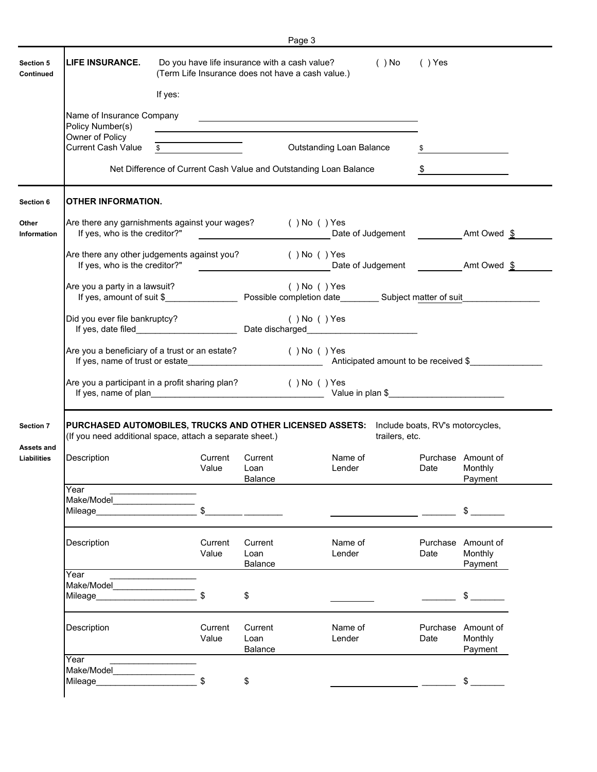|                                                      |                                               |                                                                                                                             |                                   | Page 3                                                                                                               |                |      |                                          |  |  |  |
|------------------------------------------------------|-----------------------------------------------|-----------------------------------------------------------------------------------------------------------------------------|-----------------------------------|----------------------------------------------------------------------------------------------------------------------|----------------|------|------------------------------------------|--|--|--|
| Section 5<br>Continued                               | <b>LIFE INSURANCE.</b>                        | Do you have life insurance with a cash value?<br>$( )$ No<br>$( )$ Yes<br>(Term Life Insurance does not have a cash value.) |                                   |                                                                                                                      |                |      |                                          |  |  |  |
|                                                      |                                               | If yes:                                                                                                                     |                                   |                                                                                                                      |                |      |                                          |  |  |  |
|                                                      | Name of Insurance Company<br>Policy Number(s) |                                                                                                                             |                                   | <u> 1989 - Johann Barbara, marka a shekara tsa 1989 - An tsa 1989 - An tsa 1989 - An tsa 1989 - An tsa 1989 - An</u> |                |      |                                          |  |  |  |
|                                                      | Owner of Policy<br><b>Current Cash Value</b>  | $\sim$                                                                                                                      |                                   | <b>Outstanding Loan Balance</b>                                                                                      |                |      |                                          |  |  |  |
|                                                      |                                               |                                                                                                                             |                                   | Net Difference of Current Cash Value and Outstanding Loan Balance                                                    |                |      | $\mathfrak{S}$                           |  |  |  |
| Section 6                                            | <b>OTHER INFORMATION.</b>                     |                                                                                                                             |                                   |                                                                                                                      |                |      |                                          |  |  |  |
| Other<br><b>Information</b>                          | If yes, who is the creditor?"                 | Are there any garnishments against your wages? () No () Yes                                                                 |                                   | <b>Date of Judgement Amt Owed \$</b>                                                                                 |                |      |                                          |  |  |  |
|                                                      | If yes, who is the creditor?"                 | Are there any other judgements against you? () No () Yes                                                                    |                                   |                                                                                                                      |                |      |                                          |  |  |  |
|                                                      | Are you a party in a lawsuit?                 |                                                                                                                             |                                   | $( )$ No $( )$ Yes                                                                                                   |                |      |                                          |  |  |  |
|                                                      | Did you ever file bankruptcy?                 |                                                                                                                             |                                   | $( )$ No $( )$ Yes                                                                                                   |                |      |                                          |  |  |  |
|                                                      |                                               | Are you a beneficiary of a trust or an estate?                                                                              |                                   | ( ) No ( ) Yes                                                                                                       |                |      |                                          |  |  |  |
|                                                      |                                               |                                                                                                                             |                                   |                                                                                                                      |                |      |                                          |  |  |  |
|                                                      |                                               | Are you a participant in a profit sharing plan?                                                                             |                                   | $( )$ No $( )$ Yes                                                                                                   |                |      |                                          |  |  |  |
|                                                      |                                               | (If you need additional space, attach a separate sheet.)                                                                    |                                   | PURCHASED AUTOMOBILES, TRUCKS AND OTHER LICENSED ASSETS: Include boats, RV's motorcycles,                            | trailers, etc. |      |                                          |  |  |  |
|                                                      | Description                                   | Current<br>Value                                                                                                            | Current<br>Loan<br><b>Balance</b> | Name of<br>Lender                                                                                                    |                | Date | Purchase Amount of<br>Monthly<br>Payment |  |  |  |
|                                                      | Year<br>Make/Model<br>Mileage_                | \$                                                                                                                          |                                   |                                                                                                                      |                |      | $\frac{1}{2}$                            |  |  |  |
|                                                      | Description                                   | Current<br>Value                                                                                                            | Current<br>Loan                   | Name of<br>Lender                                                                                                    |                | Date | Purchase Amount of<br>Monthly            |  |  |  |
|                                                      | Year                                          |                                                                                                                             | <b>Balance</b>                    |                                                                                                                      |                |      | Payment                                  |  |  |  |
| <b>Section 7</b><br><b>Assets and</b><br>Liabilities | Make/Model<br>Mileage____                     | \$                                                                                                                          | \$                                |                                                                                                                      |                |      |                                          |  |  |  |
|                                                      | Description<br>Year                           | Current<br>Value                                                                                                            | Current<br>Loan<br><b>Balance</b> | Name of<br>Lender                                                                                                    |                | Date | Purchase Amount of<br>Monthly<br>Payment |  |  |  |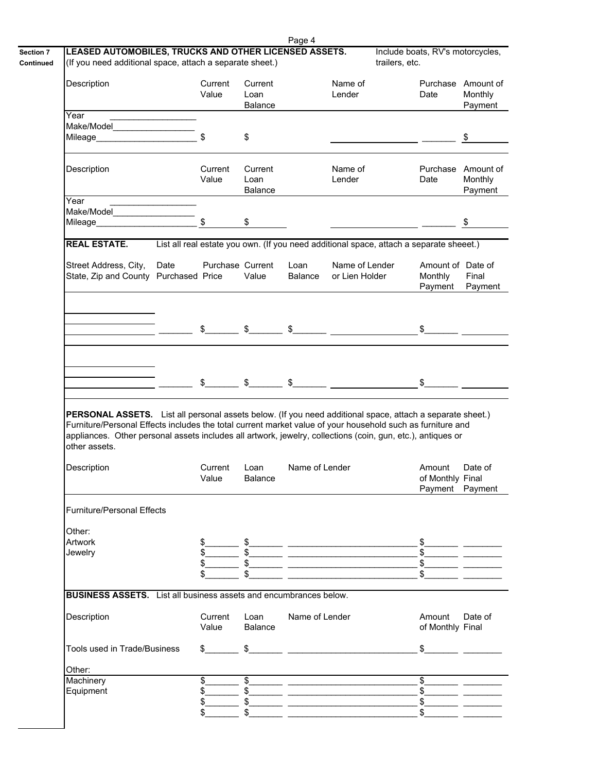|                                                                                                                                                                                                                                                                                                |                                         |                  |                        | Page 4         |                                                                                                                                                                                                                                                                                                                                                                                                   |                |                                               |                            |
|------------------------------------------------------------------------------------------------------------------------------------------------------------------------------------------------------------------------------------------------------------------------------------------------|-----------------------------------------|------------------|------------------------|----------------|---------------------------------------------------------------------------------------------------------------------------------------------------------------------------------------------------------------------------------------------------------------------------------------------------------------------------------------------------------------------------------------------------|----------------|-----------------------------------------------|----------------------------|
| LEASED AUTOMOBILES, TRUCKS AND OTHER LICENSED ASSETS.                                                                                                                                                                                                                                          |                                         |                  |                        |                |                                                                                                                                                                                                                                                                                                                                                                                                   | trailers, etc. | Include boats, RV's motorcycles,              |                            |
| (If you need additional space, attach a separate sheet.)                                                                                                                                                                                                                                       |                                         |                  |                        |                |                                                                                                                                                                                                                                                                                                                                                                                                   |                |                                               |                            |
| Description                                                                                                                                                                                                                                                                                    |                                         | Current          | Current                |                | Name of                                                                                                                                                                                                                                                                                                                                                                                           |                | Purchase Amount of                            |                            |
|                                                                                                                                                                                                                                                                                                |                                         | Value            | Loan                   |                | Lender                                                                                                                                                                                                                                                                                                                                                                                            |                | Date                                          | Monthly                    |
|                                                                                                                                                                                                                                                                                                |                                         |                  | Balance                |                |                                                                                                                                                                                                                                                                                                                                                                                                   |                |                                               | Payment                    |
| Year<br>Make/Model <b>Makes</b>                                                                                                                                                                                                                                                                |                                         |                  |                        |                |                                                                                                                                                                                                                                                                                                                                                                                                   |                |                                               |                            |
| Mileage Mileague                                                                                                                                                                                                                                                                               |                                         |                  | \$                     |                |                                                                                                                                                                                                                                                                                                                                                                                                   |                |                                               | $\boldsymbol{\mathsf{\$}}$ |
|                                                                                                                                                                                                                                                                                                |                                         |                  |                        |                |                                                                                                                                                                                                                                                                                                                                                                                                   |                |                                               |                            |
| Description                                                                                                                                                                                                                                                                                    |                                         | Current          | Current                |                | Name of                                                                                                                                                                                                                                                                                                                                                                                           |                | Purchase Amount of                            |                            |
|                                                                                                                                                                                                                                                                                                |                                         | Value            | Loan<br>Balance        |                | Lender                                                                                                                                                                                                                                                                                                                                                                                            |                | Date                                          | Monthly<br>Payment         |
| Year                                                                                                                                                                                                                                                                                           | <u> 1990 - Johann Barbara, martin a</u> |                  |                        |                |                                                                                                                                                                                                                                                                                                                                                                                                   |                |                                               |                            |
| Make/Model                                                                                                                                                                                                                                                                                     |                                         |                  |                        |                |                                                                                                                                                                                                                                                                                                                                                                                                   |                |                                               |                            |
| Mileage_                                                                                                                                                                                                                                                                                       |                                         | $\sqrt{2}$       | \$                     |                |                                                                                                                                                                                                                                                                                                                                                                                                   |                |                                               | \$                         |
| <b>REAL ESTATE.</b>                                                                                                                                                                                                                                                                            |                                         |                  |                        |                | List all real estate you own. (If you need additional space, attach a separate sheeet.)                                                                                                                                                                                                                                                                                                           |                |                                               |                            |
| Street Address, City,                                                                                                                                                                                                                                                                          | Date                                    | Purchase Current |                        | Loan           | Name of Lender                                                                                                                                                                                                                                                                                                                                                                                    |                | Amount of Date of                             |                            |
| State, Zip and County Purchased Price                                                                                                                                                                                                                                                          |                                         |                  | Value                  | Balance        | or Lien Holder                                                                                                                                                                                                                                                                                                                                                                                    |                | Monthly                                       | Final                      |
|                                                                                                                                                                                                                                                                                                |                                         |                  |                        |                |                                                                                                                                                                                                                                                                                                                                                                                                   |                | Payment                                       | Payment                    |
|                                                                                                                                                                                                                                                                                                |                                         |                  |                        |                |                                                                                                                                                                                                                                                                                                                                                                                                   |                |                                               |                            |
|                                                                                                                                                                                                                                                                                                |                                         |                  |                        |                |                                                                                                                                                                                                                                                                                                                                                                                                   |                |                                               |                            |
|                                                                                                                                                                                                                                                                                                |                                         |                  |                        |                | $\frac{1}{2}$ $\frac{1}{2}$ $\frac{1}{2}$ $\frac{1}{2}$ $\frac{1}{2}$ $\frac{1}{2}$ $\frac{1}{2}$ $\frac{1}{2}$ $\frac{1}{2}$ $\frac{1}{2}$ $\frac{1}{2}$ $\frac{1}{2}$ $\frac{1}{2}$ $\frac{1}{2}$ $\frac{1}{2}$ $\frac{1}{2}$ $\frac{1}{2}$ $\frac{1}{2}$ $\frac{1}{2}$ $\frac{1}{2}$ $\frac{1}{2}$ $\frac{1}{2}$                                                                               |                | $\frac{1}{2}$                                 |                            |
|                                                                                                                                                                                                                                                                                                |                                         |                  |                        |                |                                                                                                                                                                                                                                                                                                                                                                                                   |                |                                               |                            |
|                                                                                                                                                                                                                                                                                                |                                         |                  |                        |                |                                                                                                                                                                                                                                                                                                                                                                                                   |                |                                               |                            |
|                                                                                                                                                                                                                                                                                                |                                         |                  |                        |                |                                                                                                                                                                                                                                                                                                                                                                                                   |                |                                               |                            |
|                                                                                                                                                                                                                                                                                                |                                         |                  |                        |                |                                                                                                                                                                                                                                                                                                                                                                                                   |                |                                               |                            |
| PERSONAL ASSETS. List all personal assets below. (If you need additional space, attach a separate sheet.)                                                                                                                                                                                      |                                         |                  |                        |                | $\frac{1}{2}$ $\frac{1}{2}$ $\frac{1}{2}$ $\frac{1}{2}$ $\frac{1}{2}$ $\frac{1}{2}$ $\frac{1}{2}$ $\frac{1}{2}$ $\frac{1}{2}$ $\frac{1}{2}$ $\frac{1}{2}$ $\frac{1}{2}$ $\frac{1}{2}$ $\frac{1}{2}$ $\frac{1}{2}$ $\frac{1}{2}$ $\frac{1}{2}$ $\frac{1}{2}$ $\frac{1}{2}$ $\frac{1}{2}$ $\frac{1}{2}$ $\frac{1}{2}$                                                                               |                | $\sim$                                        |                            |
| Furniture/Personal Effects includes the total current market value of your household such as furniture and<br>appliances. Other personal assets includes all artwork, jewelry, collections (coin, gun, etc.), antiques or<br>other assets.<br>Description<br><b>Furniture/Personal Effects</b> |                                         | Current<br>Value | Loan<br><b>Balance</b> | Name of Lender |                                                                                                                                                                                                                                                                                                                                                                                                   |                | Amount<br>of Monthly Final<br>Payment Payment | Date of                    |
| Other:                                                                                                                                                                                                                                                                                         |                                         |                  |                        |                |                                                                                                                                                                                                                                                                                                                                                                                                   |                |                                               |                            |
| Artwork                                                                                                                                                                                                                                                                                        |                                         |                  |                        |                |                                                                                                                                                                                                                                                                                                                                                                                                   |                |                                               |                            |
| Jewelry                                                                                                                                                                                                                                                                                        |                                         |                  |                        |                |                                                                                                                                                                                                                                                                                                                                                                                                   |                |                                               |                            |
|                                                                                                                                                                                                                                                                                                |                                         |                  |                        |                |                                                                                                                                                                                                                                                                                                                                                                                                   |                |                                               |                            |
|                                                                                                                                                                                                                                                                                                |                                         |                  |                        |                |                                                                                                                                                                                                                                                                                                                                                                                                   |                |                                               |                            |
| <b>BUSINESS ASSETS.</b> List all business assets and encumbrances below.                                                                                                                                                                                                                       |                                         |                  |                        |                |                                                                                                                                                                                                                                                                                                                                                                                                   |                |                                               |                            |
| Description                                                                                                                                                                                                                                                                                    |                                         | Current<br>Value | Loan<br>Balance        | Name of Lender |                                                                                                                                                                                                                                                                                                                                                                                                   |                | Amount<br>of Monthly Final                    |                            |
| Tools used in Trade/Business                                                                                                                                                                                                                                                                   |                                         |                  |                        |                | $\frac{1}{2}$ $\frac{1}{2}$ $\frac{1}{2}$ $\frac{1}{2}$ $\frac{1}{2}$ $\frac{1}{2}$ $\frac{1}{2}$ $\frac{1}{2}$ $\frac{1}{2}$ $\frac{1}{2}$ $\frac{1}{2}$ $\frac{1}{2}$ $\frac{1}{2}$ $\frac{1}{2}$ $\frac{1}{2}$ $\frac{1}{2}$ $\frac{1}{2}$ $\frac{1}{2}$ $\frac{1}{2}$ $\frac{1}{2}$ $\frac{1}{2}$ $\frac{1}{2}$                                                                               |                | $\frac{1}{2}$                                 |                            |
|                                                                                                                                                                                                                                                                                                |                                         |                  |                        |                |                                                                                                                                                                                                                                                                                                                                                                                                   |                |                                               |                            |
| Other:<br>Machinery                                                                                                                                                                                                                                                                            |                                         | $\overline{\$}$  |                        |                |                                                                                                                                                                                                                                                                                                                                                                                                   |                |                                               |                            |
| Equipment                                                                                                                                                                                                                                                                                      |                                         |                  |                        |                | $\overline{\text{S}}$ and $\overline{\text{S}}$ and $\overline{\text{S}}$ and $\overline{\text{S}}$ and $\overline{\text{S}}$ and $\overline{\text{S}}$ and $\overline{\text{S}}$ and $\overline{\text{S}}$ and $\overline{\text{S}}$ and $\overline{\text{S}}$ and $\overline{\text{S}}$ and $\overline{\text{S}}$ and $\overline{\text{S}}$ and $\overline{\text{S}}$ and $\overline{\text{S}}$ |                | $\frac{1}{2}$<br>$\frac{1}{2}$                |                            |
|                                                                                                                                                                                                                                                                                                |                                         | \$               |                        |                |                                                                                                                                                                                                                                                                                                                                                                                                   |                | $\frac{1}{2}$<br>$\frac{1}{2}$                | Date of                    |